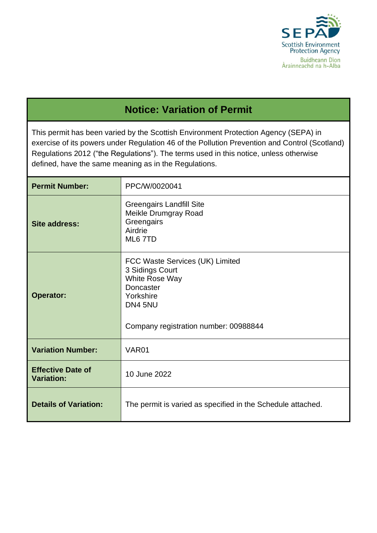

## **Notice: Variation of Permit**

This permit has been varied by the Scottish Environment Protection Agency (SEPA) in exercise of its powers under Regulation 46 of the Pollution Prevention and Control (Scotland) Regulations 2012 ("the Regulations"). The terms used in this notice, unless otherwise defined, have the same meaning as in the Regulations.

| <b>Permit Number:</b>                         | PPC/W/0020041                                                                                                                                      |  |
|-----------------------------------------------|----------------------------------------------------------------------------------------------------------------------------------------------------|--|
| <b>Site address:</b>                          | <b>Greengairs Landfill Site</b><br><b>Meikle Drumgray Road</b><br>Greengairs<br>Airdrie<br>ML6 7TD                                                 |  |
| <b>Operator:</b>                              | FCC Waste Services (UK) Limited<br>3 Sidings Court<br>White Rose Way<br>Doncaster<br>Yorkshire<br>DN4 5NU<br>Company registration number: 00988844 |  |
| <b>Variation Number:</b>                      | VAR <sub>01</sub>                                                                                                                                  |  |
| <b>Effective Date of</b><br><b>Variation:</b> | 10 June 2022                                                                                                                                       |  |
| <b>Details of Variation:</b>                  | The permit is varied as specified in the Schedule attached.                                                                                        |  |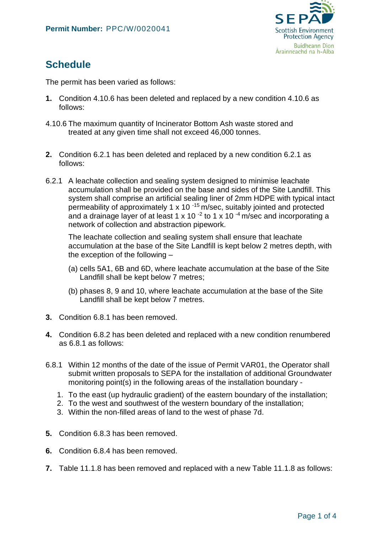

## **Schedule**

The permit has been varied as follows:

- **1.** Condition 4.10.6 has been deleted and replaced by a new condition 4.10.6 as follows:
- 4.10.6 The maximum quantity of Incinerator Bottom Ash waste stored and treated at any given time shall not exceed 46,000 tonnes.
- **2.** Condition 6.2.1 has been deleted and replaced by a new condition 6.2.1 as follows:
- 6.2.1 A leachate collection and sealing system designed to minimise leachate accumulation shall be provided on the base and sides of the Site Landfill. This system shall comprise an artificial sealing liner of 2mm HDPE with typical intact permeability of approximately 1 x 10 $^{-15}$  m/sec, suitably jointed and protected and a drainage layer of at least 1 x 10<sup> $-2$ </sup> to 1 x 10 $-4$  m/sec and incorporating a network of collection and abstraction pipework.

The leachate collection and sealing system shall ensure that leachate accumulation at the base of the Site Landfill is kept below 2 metres depth, with the exception of the following –

- (a) cells 5A1, 6B and 6D, where leachate accumulation at the base of the Site Landfill shall be kept below 7 metres;
- (b) phases 8, 9 and 10, where leachate accumulation at the base of the Site Landfill shall be kept below 7 metres.
- **3.** Condition 6.8.1 has been removed.
- **4.** Condition 6.8.2 has been deleted and replaced with a new condition renumbered as 6.8.1 as follows:
- 6.8.1 Within 12 months of the date of the issue of Permit VAR01, the Operator shall submit written proposals to SEPA for the installation of additional Groundwater monitoring point(s) in the following areas of the installation boundary -
	- 1. To the east (up hydraulic gradient) of the eastern boundary of the installation;
	- 2. To the west and southwest of the western boundary of the installation;
	- 3. Within the non-filled areas of land to the west of phase 7d.
- **5.** Condition 6.8.3 has been removed.
- **6.** Condition 6.8.4 has been removed.
- **7.** Table 11.1.8 has been removed and replaced with a new Table 11.1.8 as follows: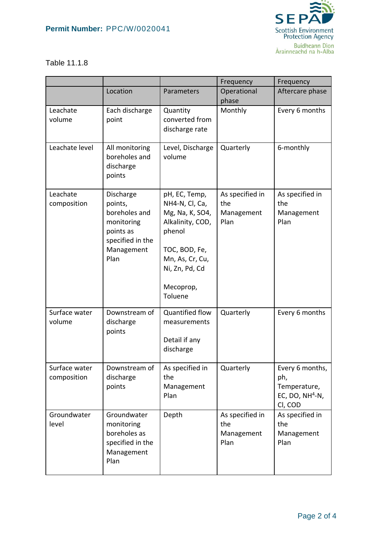## **Permit Number:** PPC/W/0020041



## Table 11.1.8

|                              |                                                                                                            |                                                                                                                                                                | Frequency                                    | Frequency                                                              |
|------------------------------|------------------------------------------------------------------------------------------------------------|----------------------------------------------------------------------------------------------------------------------------------------------------------------|----------------------------------------------|------------------------------------------------------------------------|
|                              | Location                                                                                                   | Parameters                                                                                                                                                     | Operational<br>phase                         | Aftercare phase                                                        |
| Leachate<br>volume           | Each discharge<br>point                                                                                    | Quantity<br>converted from<br>discharge rate                                                                                                                   | Monthly                                      | Every 6 months                                                         |
| Leachate level               | All monitoring<br>boreholes and<br>discharge<br>points                                                     | Level, Discharge<br>volume                                                                                                                                     | Quarterly                                    | 6-monthly                                                              |
| Leachate<br>composition      | Discharge<br>points,<br>boreholes and<br>monitoring<br>points as<br>specified in the<br>Management<br>Plan | pH, EC, Temp,<br>NH4-N, Cl, Ca,<br>Mg, Na, K, SO4,<br>Alkalinity, COD,<br>phenol<br>TOC, BOD, Fe,<br>Mn, As, Cr, Cu,<br>Ni, Zn, Pd, Cd<br>Mecoprop,<br>Toluene | As specified in<br>the<br>Management<br>Plan | As specified in<br>the<br>Management<br>Plan                           |
| Surface water<br>volume      | Downstream of<br>discharge<br>points                                                                       | Quantified flow<br>measurements<br>Detail if any<br>discharge                                                                                                  | Quarterly                                    | Every 6 months                                                         |
| Surface water<br>composition | Downstream of<br>discharge<br>points                                                                       | As specified in<br>the<br>Management<br>Plan                                                                                                                   | Quarterly                                    | Every 6 months,<br>ph,<br>Temperature,<br>EC, DO, $NH4-N$ ,<br>CI, COD |
| Groundwater<br>level         | Groundwater<br>monitoring<br>boreholes as<br>specified in the<br>Management<br>Plan                        | Depth                                                                                                                                                          | As specified in<br>the<br>Management<br>Plan | As specified in<br>the<br>Management<br>Plan                           |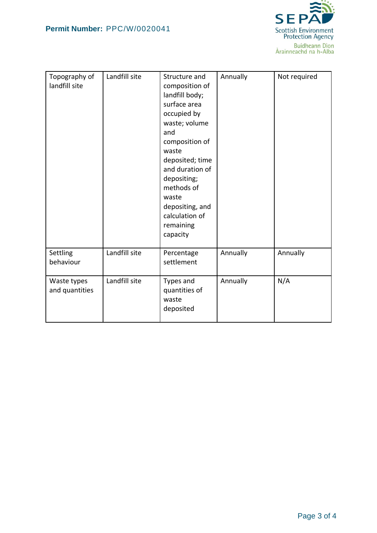

| Topography of<br>landfill site | Landfill site | Structure and<br>composition of<br>landfill body;<br>surface area<br>occupied by<br>waste; volume<br>and<br>composition of<br>waste<br>deposited; time<br>and duration of<br>depositing;<br>methods of<br>waste<br>depositing, and<br>calculation of<br>remaining<br>capacity | Annually | Not required |
|--------------------------------|---------------|-------------------------------------------------------------------------------------------------------------------------------------------------------------------------------------------------------------------------------------------------------------------------------|----------|--------------|
| Settling<br>behaviour          | Landfill site | Percentage<br>settlement                                                                                                                                                                                                                                                      | Annually | Annually     |
| Waste types<br>and quantities  | Landfill site | Types and<br>quantities of<br>waste<br>deposited                                                                                                                                                                                                                              | Annually | N/A          |